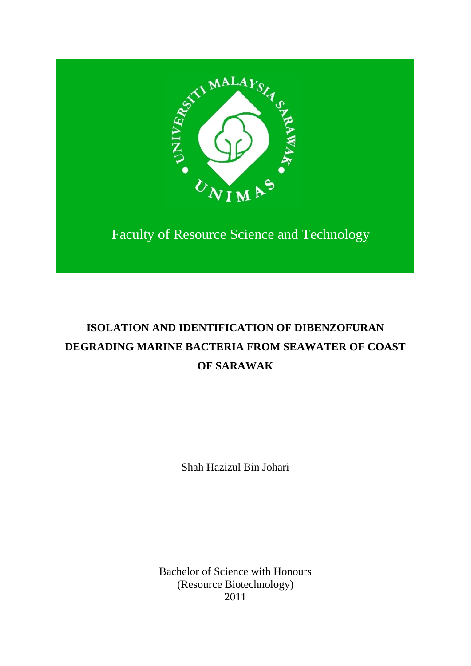

 $\overline{\phantom{a}}$ 

Faculty of Resource Science and Technology

# **ISOLATION AND IDENTIFICATION OF DIBENZOFURAN DEGRADING MARINE BACTERIA FROM SEAWATER OF COAST OF SARAWAK**

Shah Hazizul Bin Johari

Bachelor of Science with Honours (Resource Biotechnology) 2011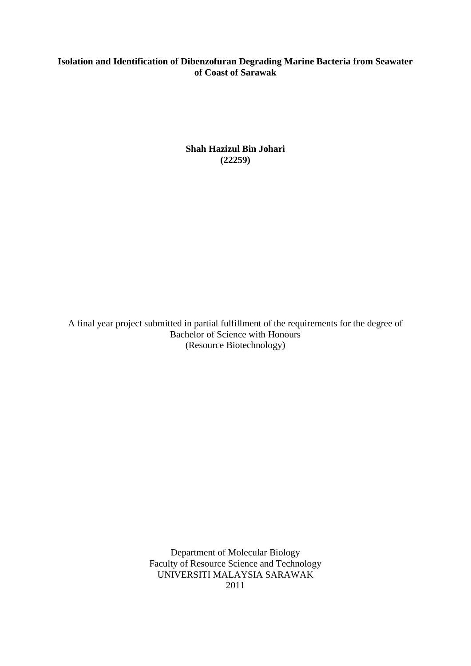## **Isolation and Identification of Dibenzofuran Degrading Marine Bacteria from Seawater of Coast of Sarawak**

**Shah Hazizul Bin Johari (22259)**

A final year project submitted in partial fulfillment of the requirements for the degree of Bachelor of Science with Honours (Resource Biotechnology)

> Department of Molecular Biology Faculty of Resource Science and Technology UNIVERSITI MALAYSIA SARAWAK 2011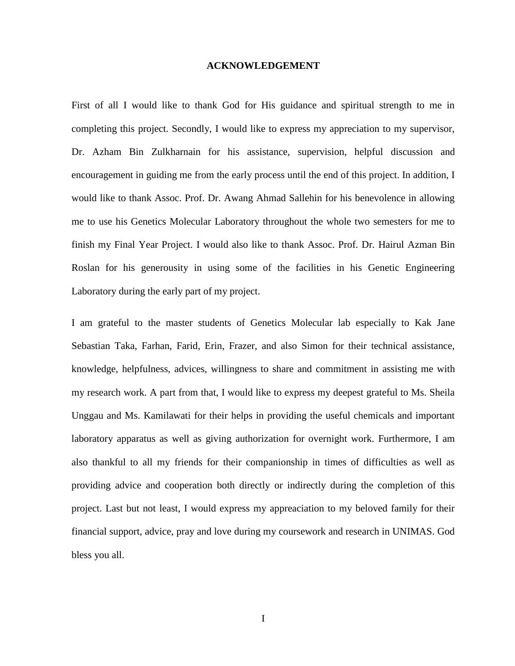#### **ACKNOWLEDGEMENT**

First of all I would like to thank God for His guidance and spiritual strength to me in completing this project. Secondly, I would like to express my appreciation to my supervisor, Dr. Azham Bin Zulkharnain for his assistance, supervision, helpful discussion and encouragement in guiding me from the early process until the end of this project. In addition, I would like to thank Assoc. Prof. Dr. Awang Ahmad Sallehin for his benevolence in allowing me to use his Genetics Molecular Laboratory throughout the whole two semesters for me to finish my Final Year Project. I would also like to thank Assoc. Prof. Dr. Hairul Azman Bin Roslan for his generousity in using some of the facilities in his Genetic Engineering Laboratory during the early part of my project.

I am grateful to the master students of Genetics Molecular lab especially to Kak Jane Sebastian Taka, Farhan, Farid, Erin, Frazer, and also Simon for their technical assistance, knowledge, helpfulness, advices, willingness to share and commitment in assisting me with my research work. A part from that, I would like to express my deepest grateful to Ms. Sheila Unggau and Ms. Kamilawati for their helps in providing the useful chemicals and important laboratory apparatus as well as giving authorization for overnight work. Furthermore, I am also thankful to all my friends for their companionship in times of difficulties as well as providing advice and cooperation both directly or indirectly during the completion of this project. Last but not least, I would express my appreaciation to my beloved family for their financial support, advice, pray and love during my coursework and research in UNIMAS. God bless you all.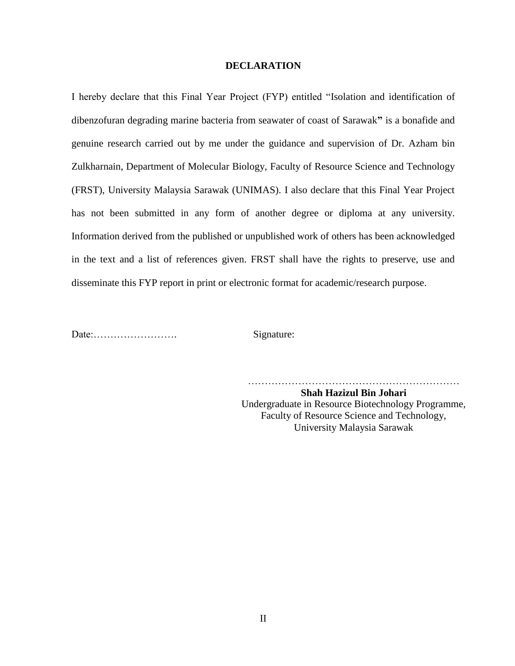#### **DECLARATION**

I hereby declare that this Final Year Project (FYP) entitled "Isolation and identification of dibenzofuran degrading marine bacteria from seawater of coast of Sarawak**"** is a bonafide and genuine research carried out by me under the guidance and supervision of Dr. Azham bin Zulkharnain, Department of Molecular Biology, Faculty of Resource Science and Technology (FRST), University Malaysia Sarawak (UNIMAS). I also declare that this Final Year Project has not been submitted in any form of another degree or diploma at any university. Information derived from the published or unpublished work of others has been acknowledged in the text and a list of references given. FRST shall have the rights to preserve, use and disseminate this FYP report in print or electronic format for academic/research purpose.

Date:……………………. Signature:

………………………………………………………

**Shah Hazizul Bin Johari** Undergraduate in Resource Biotechnology Programme, Faculty of Resource Science and Technology, University Malaysia Sarawak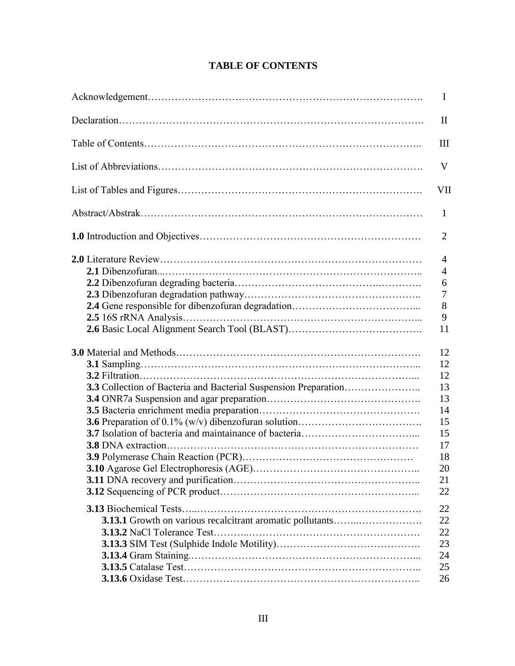| $\bf{I}$       |
|----------------|
| $\rm II$       |
| III            |
| V              |
| VII            |
| $\mathbf{1}$   |
| $\overline{2}$ |
| $\overline{4}$ |
| $\overline{4}$ |
| 6              |
| 7              |
| 8              |
| 9              |
| 11             |
| 12             |
| 12             |
| 12             |
| 13             |
| 13             |
| 14             |
| 15             |
| 15             |
| 17             |
| 18             |
| 20             |
| 21             |
| 22             |
| 22             |
| 22             |
| 22             |
| 23             |
| 24             |
| 25             |
| 26             |
|                |

## **TABLE OF CONTENTS**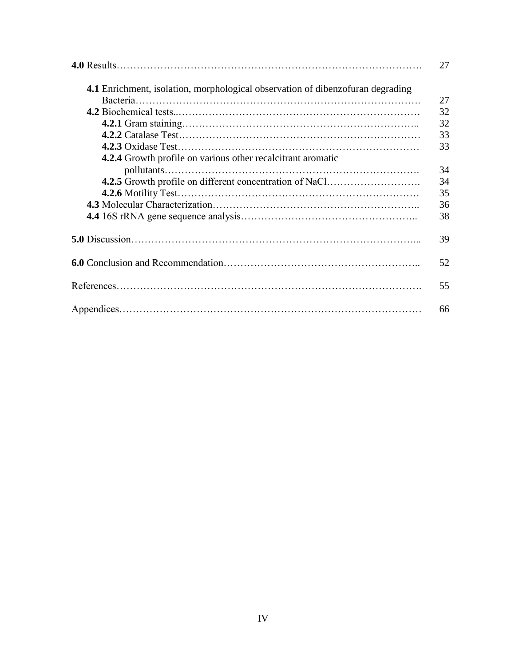|                                                                                       | 27 |
|---------------------------------------------------------------------------------------|----|
| <b>4.1</b> Enrichment, isolation, morphological observation of dibenzofuran degrading |    |
|                                                                                       | 27 |
|                                                                                       | 32 |
|                                                                                       | 32 |
|                                                                                       | 33 |
|                                                                                       | 33 |
| <b>4.2.4</b> Growth profile on various other recalcitrant aromatic                    |    |
|                                                                                       | 34 |
| 4.2.5 Growth profile on different concentration of NaCl                               | 34 |
|                                                                                       | 35 |
|                                                                                       | 36 |
|                                                                                       | 38 |
|                                                                                       | 39 |
|                                                                                       | 52 |
|                                                                                       | 55 |
|                                                                                       | 66 |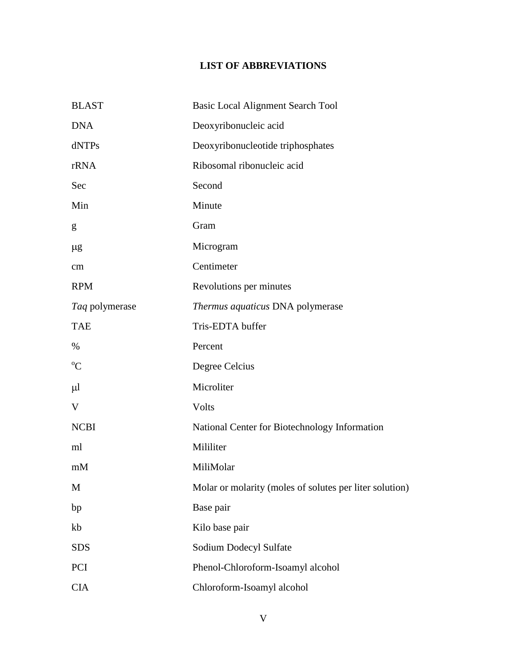# **LIST OF ABBREVIATIONS**

| <b>BLAST</b>   | <b>Basic Local Alignment Search Tool</b>                |
|----------------|---------------------------------------------------------|
| <b>DNA</b>     | Deoxyribonucleic acid                                   |
| dNTPs          | Deoxyribonucleotide triphosphates                       |
| rRNA           | Ribosomal ribonucleic acid                              |
| Sec            | Second                                                  |
| Min            | Minute                                                  |
| g              | Gram                                                    |
| $\mu$ g        | Microgram                                               |
| cm             | Centimeter                                              |
| <b>RPM</b>     | Revolutions per minutes                                 |
| Taq polymerase | Thermus aquaticus DNA polymerase                        |
| <b>TAE</b>     | Tris-EDTA buffer                                        |
| $\%$           | Percent                                                 |
| $\rm ^{o}C$    | Degree Celcius                                          |
| $\mu$          | Microliter                                              |
| V              | Volts                                                   |
| <b>NCBI</b>    | National Center for Biotechnology Information           |
| ml             | Mililiter                                               |
| mM             | MiliMolar                                               |
| M              | Molar or molarity (moles of solutes per liter solution) |
| bp             | Base pair                                               |
| kb             | Kilo base pair                                          |
| <b>SDS</b>     | Sodium Dodecyl Sulfate                                  |
| PCI            | Phenol-Chloroform-Isoamyl alcohol                       |
| <b>CIA</b>     | Chloroform-Isoamyl alcohol                              |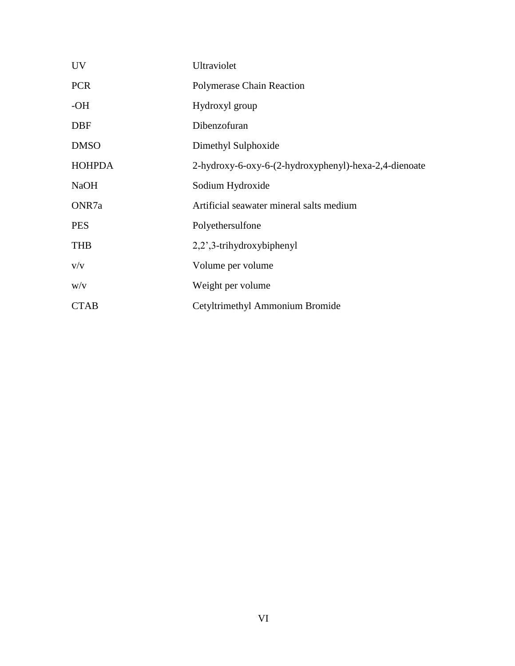| <b>UV</b>     | Ultraviolet                                           |
|---------------|-------------------------------------------------------|
| <b>PCR</b>    | <b>Polymerase Chain Reaction</b>                      |
| $-OH$         | Hydroxyl group                                        |
| <b>DBF</b>    | Dibenzofuran                                          |
| <b>DMSO</b>   | Dimethyl Sulphoxide                                   |
| <b>HOHPDA</b> | 2-hydroxy-6-oxy-6-(2-hydroxyphenyl)-hexa-2,4-dienoate |
| <b>NaOH</b>   | Sodium Hydroxide                                      |
| ONR7a         | Artificial seawater mineral salts medium              |
| <b>PES</b>    | Polyethersulfone                                      |
| <b>THB</b>    | 2,2',3-trihydroxybiphenyl                             |
| V/V           | Volume per volume                                     |
| W/V           | Weight per volume                                     |
| <b>CTAB</b>   | Cetyltrimethyl Ammonium Bromide                       |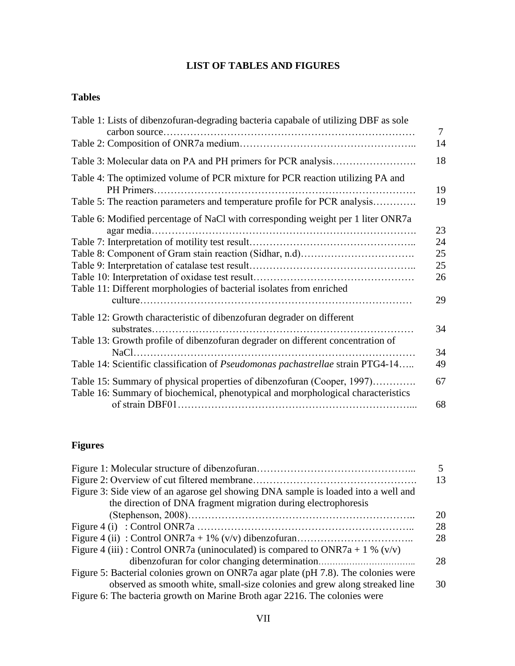# **LIST OF TABLES AND FIGURES**

## **Tables**

| Table 1: Lists of dibenzofuran-degrading bacteria capabale of utilizing DBF as sole                                                                         |
|-------------------------------------------------------------------------------------------------------------------------------------------------------------|
|                                                                                                                                                             |
|                                                                                                                                                             |
| Table 4: The optimized volume of PCR mixture for PCR reaction utilizing PA and                                                                              |
| Table 5: The reaction parameters and temperature profile for PCR analysis                                                                                   |
| Table 6: Modified percentage of NaCl with corresponding weight per 1 liter ONR7a                                                                            |
|                                                                                                                                                             |
|                                                                                                                                                             |
|                                                                                                                                                             |
|                                                                                                                                                             |
| Table 11: Different morphologies of bacterial isolates from enriched                                                                                        |
| Table 12: Growth characteristic of dibenzofuran degrader on different                                                                                       |
| Table 13: Growth profile of dibenzofuran degrader on different concentration of                                                                             |
| Table 14: Scientific classification of Pseudomonas pachastrellae strain PTG4-14                                                                             |
| Table 15: Summary of physical properties of dibenzofuran (Cooper, 1997)<br>Table 16: Summary of biochemical, phenotypical and morphological characteristics |
|                                                                                                                                                             |

# **Figures**

|                                                                                    | 5  |
|------------------------------------------------------------------------------------|----|
|                                                                                    | 13 |
| Figure 3: Side view of an agarose gel showing DNA sample is loaded into a well and |    |
| the direction of DNA fragment migration during electrophoresis                     |    |
|                                                                                    | 20 |
|                                                                                    | 28 |
|                                                                                    | 28 |
| Figure 4 (iii) : Control ONR7a (uninoculated) is compared to ONR7a + 1 % (v/v)     |    |
|                                                                                    | 28 |
| Figure 5: Bacterial colonies grown on ONR7a agar plate (pH 7.8). The colonies were |    |
| observed as smooth white, small-size colonies and grew along streaked line         | 30 |
| Figure 6: The bacteria growth on Marine Broth agar 2216. The colonies were         |    |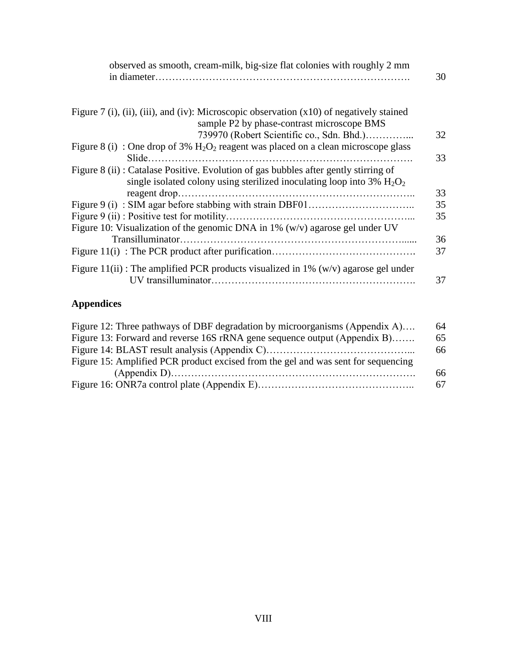| observed as smooth, cream-milk, big-size flat colonies with roughly 2 mm                                                                                                                  |
|-------------------------------------------------------------------------------------------------------------------------------------------------------------------------------------------|
| Figure 7 (i), (ii), (iii), and (iv): Microscopic observation $(x10)$ of negatively stained<br>sample P2 by phase-contrast microscope BMS                                                  |
| 739970 (Robert Scientific co., Sdn. Bhd.)                                                                                                                                                 |
| Figure 8 (i) : One drop of 3% $H_2O_2$ reagent was placed on a clean microscope glass                                                                                                     |
| Figure 8 (ii) : Catalase Positive. Evolution of gas bubbles after gently stirring of<br>single isolated colony using sterilized inoculating loop into $3\%$ H <sub>2</sub> O <sub>2</sub> |
|                                                                                                                                                                                           |
|                                                                                                                                                                                           |
| Figure 10: Visualization of the genomic DNA in 1% $(w/v)$ agarose gel under UV                                                                                                            |
|                                                                                                                                                                                           |
| Figure 11(ii) : The amplified PCR products visualized in 1% ( $w/v$ ) agarose gel under                                                                                                   |

# **Appendices**

| 64 |
|----|
| 65 |
| 66 |
|    |
| 66 |
| 67 |
|    |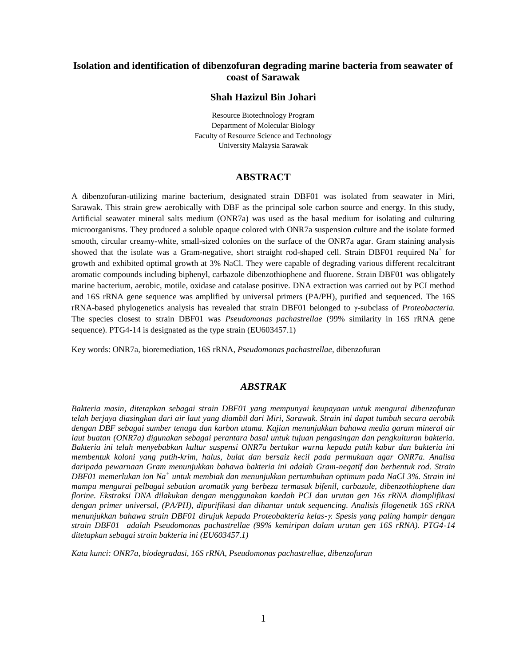#### **Isolation and identification of dibenzofuran degrading marine bacteria from seawater of coast of Sarawak**

#### **Shah Hazizul Bin Johari**

Resource Biotechnology Program Department of Molecular Biology Faculty of Resource Science and Technology University Malaysia Sarawak

#### **ABSTRACT**

A dibenzofuran-utilizing marine bacterium, designated strain DBF01 was isolated from seawater in Miri, Sarawak. This strain grew aerobically with DBF as the principal sole carbon source and energy. In this study, Artificial seawater mineral salts medium (ONR7a) was used as the basal medium for isolating and culturing microorganisms. They produced a soluble opaque colored with ONR7a suspension culture and the isolate formed smooth, circular creamy-white, small-sized colonies on the surface of the ONR7a agar. Gram staining analysis showed that the isolate was a Gram-negative, short straight rod-shaped cell. Strain DBF01 required Na<sup>+</sup> for growth and exhibited optimal growth at 3% NaCl. They were capable of degrading various different recalcitrant aromatic compounds including biphenyl, carbazole dibenzothiophene and fluorene. Strain DBF01 was obligately marine bacterium, aerobic, motile, oxidase and catalase positive. DNA extraction was carried out by PCI method and 16S rRNA gene sequence was amplified by universal primers (PA/PH), purified and sequenced. The 16S rRNA-based phylogenetics analysis has revealed that strain DBF01 belonged to γ-subclass of *Proteobacteria.*  The species closest to strain DBF01 was *Pseudomonas pachastrellae* (99% similarity in 16S rRNA gene sequence). PTG4-14 is designated as the type strain (EU603457.1)

Key words: ONR7a, bioremediation, 16S rRNA, *Pseudomonas pachastrellae,* dibenzofuran

#### *ABSTRAK*

*Bakteria masin, ditetapkan sebagai strain DBF01 yang mempunyai keupayaan untuk mengurai dibenzofuran telah berjaya diasingkan dari air laut yang diambil dari Miri, Sarawak. Strain ini dapat tumbuh secara aerobik dengan DBF sebagai sumber tenaga dan karbon utama. Kajian menunjukkan bahawa media garam mineral air laut buatan (ONR7a) digunakan sebagai perantara basal untuk tujuan pengasingan dan pengkulturan bakteria. Bakteria ini telah menyebabkan kultur suspensi ONR7a bertukar warna kepada putih kabur dan bakteria ini membentuk koloni yang putih-krim, halus, bulat dan bersaiz kecil pada permukaan agar ONR7a. Analisa daripada pewarnaan Gram menunjukkan bahawa bakteria ini adalah Gram-negatif dan berbentuk rod. Strain DBF01 memerlukan ion Na<sup>+</sup> untuk membiak dan menunjukkan pertumbuhan optimum pada NaCl 3%. Strain ini mampu mengurai pelbagai sebatian aromatik yang berbeza termasuk bifenil, carbazole, dibenzothiophene dan florine. Ekstraksi DNA dilakukan dengan menggunakan kaedah PCI dan urutan gen 16s rRNA diamplifikasi dengan primer universal, (PA/PH), dipurifikasi dan dihantar untuk sequencing. Analisis filogenetik 16S rRNA menunjukkan bahawa strain DBF01 dirujuk kepada Proteobakteria kelas-. Spesis yang paling hampir dengan strain DBF01 adalah Pseudomonas pachastrellae (99% kemiripan dalam urutan gen 16S rRNA). PTG4-14 ditetapkan sebagai strain bakteria ini (EU603457.1)*

*Kata kunci: ONR7a, biodegradasi, 16S rRNA, Pseudomonas pachastrellae, dibenzofuran*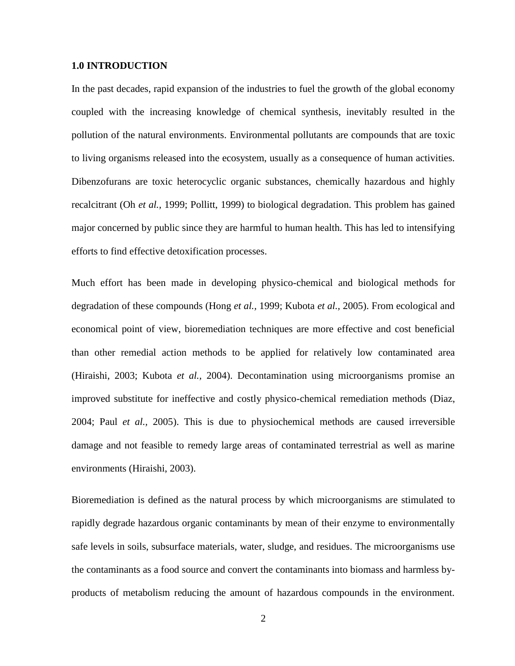#### **1.0 INTRODUCTION**

In the past decades, rapid expansion of the industries to fuel the growth of the global economy coupled with the increasing knowledge of chemical synthesis, inevitably resulted in the pollution of the natural environments. Environmental pollutants are compounds that are toxic to living organisms released into the ecosystem, usually as a consequence of human activities. Dibenzofurans are toxic heterocyclic organic substances, chemically hazardous and highly recalcitrant (Oh *et al.,* 1999; Pollitt, 1999) to biological degradation. This problem has gained major concerned by public since they are harmful to human health. This has led to intensifying efforts to find effective detoxification processes.

Much effort has been made in developing physico-chemical and biological methods for degradation of these compounds (Hong *et al.,* 1999; Kubota *et al.,* 2005). From ecological and economical point of view, bioremediation techniques are more effective and cost beneficial than other remedial action methods to be applied for relatively low contaminated area (Hiraishi, 2003; Kubota *et al.,* 2004). Decontamination using microorganisms promise an improved substitute for ineffective and costly physico-chemical remediation methods (Diaz, 2004; Paul *et al.,* 2005). This is due to physiochemical methods are caused irreversible damage and not feasible to remedy large areas of contaminated terrestrial as well as marine environments (Hiraishi, 2003).

Bioremediation is defined as the natural process by which microorganisms are stimulated to rapidly degrade hazardous organic contaminants by mean of their enzyme to environmentally safe levels in soils, subsurface materials, water, sludge, and residues. The microorganisms use the contaminants as a food source and convert the contaminants into biomass and harmless byproducts of metabolism reducing the amount of hazardous compounds in the environment.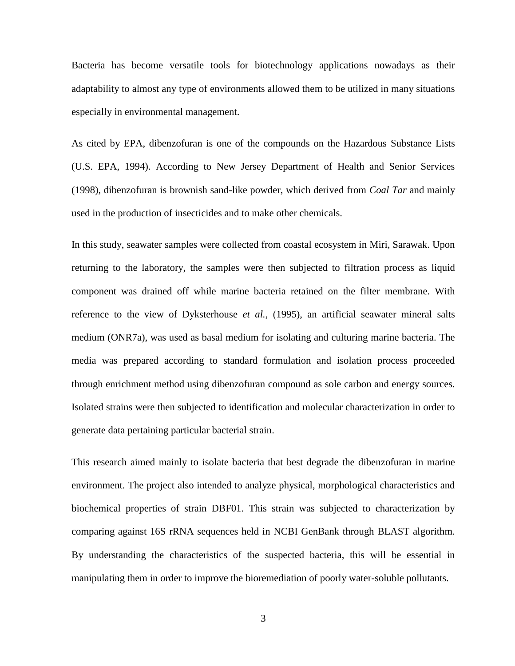Bacteria has become versatile tools for biotechnology applications nowadays as their adaptability to almost any type of environments allowed them to be utilized in many situations especially in environmental management.

As cited by EPA, dibenzofuran is one of the compounds on the Hazardous Substance Lists (U.S. EPA, 1994). According to New Jersey Department of Health and Senior Services (1998), dibenzofuran is brownish sand-like powder, which derived from *Coal Tar* and mainly used in the production of insecticides and to make other chemicals.

In this study, seawater samples were collected from coastal ecosystem in Miri, Sarawak. Upon returning to the laboratory, the samples were then subjected to filtration process as liquid component was drained off while marine bacteria retained on the filter membrane. With reference to the view of Dyksterhouse *et al.,* (1995), an artificial seawater mineral salts medium (ONR7a), was used as basal medium for isolating and culturing marine bacteria. The media was prepared according to standard formulation and isolation process proceeded through enrichment method using dibenzofuran compound as sole carbon and energy sources. Isolated strains were then subjected to identification and molecular characterization in order to generate data pertaining particular bacterial strain.

This research aimed mainly to isolate bacteria that best degrade the dibenzofuran in marine environment. The project also intended to analyze physical, morphological characteristics and biochemical properties of strain DBF01. This strain was subjected to characterization by comparing against 16S rRNA sequences held in NCBI GenBank through BLAST algorithm. By understanding the characteristics of the suspected bacteria, this will be essential in manipulating them in order to improve the bioremediation of poorly water-soluble pollutants.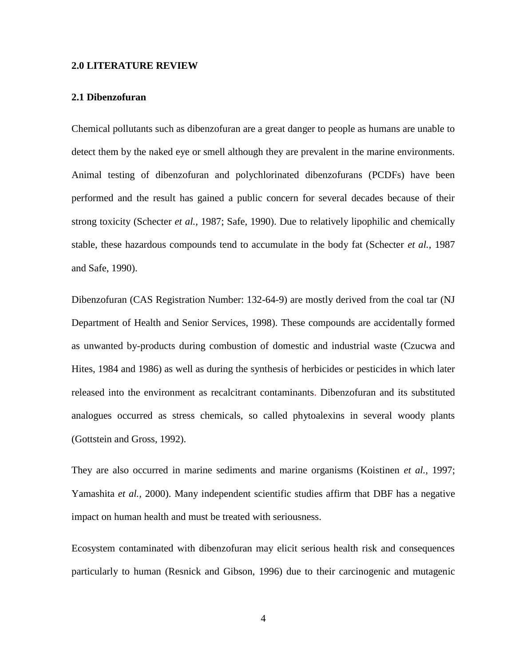#### **2.0 LITERATURE REVIEW**

#### **2.1 Dibenzofuran**

Chemical pollutants such as dibenzofuran are a great danger to people as humans are unable to detect them by the naked eye or smell although they are prevalent in the marine environments. Animal testing of dibenzofuran and polychlorinated dibenzofurans (PCDFs) have been performed and the result has gained a public concern for several decades because of their strong toxicity (Schecter *et al.,* 1987; Safe, 1990). Due to relatively lipophilic and chemically stable, these hazardous compounds tend to accumulate in the body fat (Schecter *et al.,* 1987 and Safe, 1990).

Dibenzofuran (CAS Registration Number: 132-64-9) are mostly derived from the coal tar (NJ Department of Health and Senior Services, 1998). These compounds are accidentally formed as unwanted by-products during combustion of domestic and industrial waste (Czucwa and Hites, 1984 and 1986) as well as during the synthesis of herbicides or pesticides in which later released into the environment as recalcitrant contaminants. Dibenzofuran and its substituted analogues occurred as stress chemicals, so called phytoalexins in several woody plants (Gottstein and Gross, 1992).

They are also occurred in marine sediments and marine organisms (Koistinen *et al.,* 1997; Yamashita *et al.,* 2000). Many independent scientific studies affirm that DBF has a negative impact on human health and must be treated with seriousness.

Ecosystem contaminated with dibenzofuran may elicit serious health risk and consequences particularly to human (Resnick and Gibson, 1996) due to their carcinogenic and mutagenic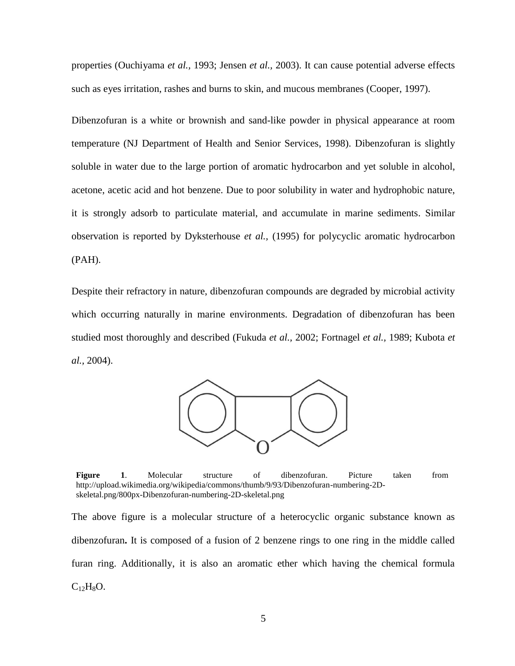properties (Ouchiyama *et al.,* 1993; Jensen *et al.,* 2003). It can cause potential adverse effects such as eyes irritation, rashes and burns to skin, and mucous membranes (Cooper, 1997).

Dibenzofuran is a white or brownish and sand-like powder in physical appearance at room temperature (NJ Department of Health and Senior Services, 1998). Dibenzofuran is slightly soluble in water due to the large portion of aromatic hydrocarbon and yet soluble in alcohol, acetone, acetic acid and hot benzene. Due to poor solubility in water and hydrophobic nature, it is strongly adsorb to particulate material, and accumulate in marine sediments. Similar observation is reported by Dyksterhouse *et al.,* (1995) for polycyclic aromatic hydrocarbon (PAH).

Despite their refractory in nature, dibenzofuran compounds are degraded by microbial activity which occurring naturally in marine environments. Degradation of dibenzofuran has been studied most thoroughly and described (Fukuda *et al.,* 2002; Fortnagel *et al.,* 1989; Kubota *et al.,* 2004).



**Figure 1**. Molecular structure of dibenzofuran. Picture taken from http://upload.wikimedia.org/wikipedia/commons/thumb/9/93/Dibenzofuran-numbering-2Dskeletal.png/800px-Dibenzofuran-numbering-2D-skeletal.png

The above figure is a molecular structure of a heterocyclic organic substance known as dibenzofuran**.** It is composed of a fusion of 2 benzene rings to one ring in the middle called furan ring. Additionally, it is also an aromatic ether which having the chemical formula  $C_{12}H_8O.$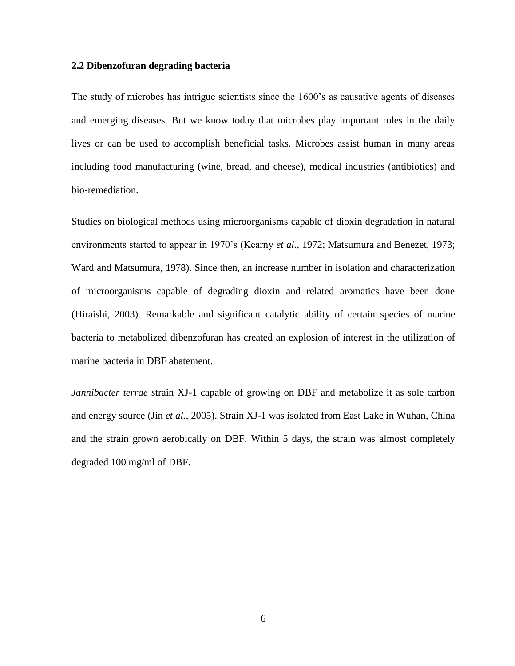#### **2.2 Dibenzofuran degrading bacteria**

The study of microbes has intrigue scientists since the 1600's as causative agents of diseases and emerging diseases. But we know today that microbes play important roles in the daily lives or can be used to accomplish beneficial tasks. Microbes assist human in many areas including food manufacturing (wine, bread, and cheese), medical industries (antibiotics) and bio-remediation.

Studies on biological methods using microorganisms capable of dioxin degradation in natural environments started to appear in 1970's (Kearny *et al.,* 1972; Matsumura and Benezet, 1973; Ward and Matsumura, 1978). Since then, an increase number in isolation and characterization of microorganisms capable of degrading dioxin and related aromatics have been done (Hiraishi, 2003). Remarkable and significant catalytic ability of certain species of marine bacteria to metabolized dibenzofuran has created an explosion of interest in the utilization of marine bacteria in DBF abatement.

*Jannibacter terrae* strain XJ-1 capable of growing on DBF and metabolize it as sole carbon and energy source (Jin *et al.,* 2005). Strain XJ-1 was isolated from East Lake in Wuhan, China and the strain grown aerobically on DBF. Within 5 days, the strain was almost completely degraded 100 mg/ml of DBF.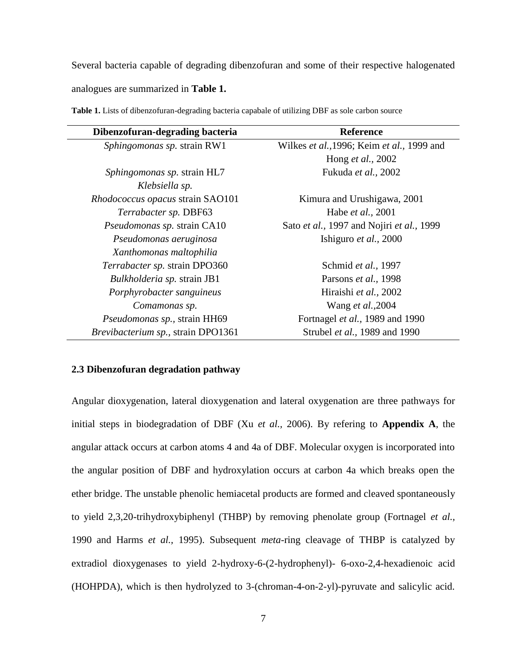Several bacteria capable of degrading dibenzofuran and some of their respective halogenated analogues are summarized in **Table 1.**

| Dibenzofuran-degrading bacteria    | <b>Reference</b>                           |
|------------------------------------|--------------------------------------------|
| Sphingomonas sp. strain RW1        | Wilkes et al., 1996; Keim et al., 1999 and |
|                                    | Hong et al., 2002                          |
| Sphingomonas sp. strain HL7        | Fukuda et al., 2002                        |
| Klebsiella sp.                     |                                            |
| Rhodococcus opacus strain SAO101   | Kimura and Urushigawa, 2001                |
| Terrabacter sp. DBF63              | Habe et al., 2001                          |
| Pseudomonas sp. strain CA10        | Sato et al., 1997 and Nojiri et al., 1999  |
| Pseudomonas aeruginosa             | Ishiguro et al., 2000                      |
| Xanthomonas maltophilia            |                                            |
| Terrabacter sp. strain DPO360      | Schmid et al., 1997                        |
| Bulkholderia sp. strain JB1        | Parsons et al., 1998                       |
| Porphyrobacter sanguineus          | Hiraishi et al., 2002                      |
| Comamonas sp.                      | Wang et al., 2004                          |
| Pseudomonas sp., strain HH69       | Fortnagel et al., 1989 and 1990            |
| Brevibacterium sp., strain DPO1361 | Strubel et al., 1989 and 1990              |

**Table 1.** Lists of dibenzofuran-degrading bacteria capabale of utilizing DBF as sole carbon source

#### **2.3 Dibenzofuran degradation pathway**

Angular dioxygenation, lateral dioxygenation and lateral oxygenation are three pathways for initial steps in biodegradation of DBF (Xu *et al.,* 2006). By refering to **Appendix A**, the angular attack occurs at carbon atoms 4 and 4a of DBF. Molecular oxygen is incorporated into the angular position of DBF and hydroxylation occurs at carbon 4a which breaks open the ether bridge. The unstable phenolic hemiacetal products are formed and cleaved spontaneously to yield 2,3,20-trihydroxybiphenyl (THBP) by removing phenolate group (Fortnagel *et al.,*  1990 and Harms *et al.,* 1995). Subsequent *meta*-ring cleavage of THBP is catalyzed by extradiol dioxygenases to yield 2-hydroxy-6-(2-hydrophenyl)- 6-oxo-2,4-hexadienoic acid (HOHPDA), which is then hydrolyzed to 3-(chroman-4-on-2-yl)-pyruvate and salicylic acid.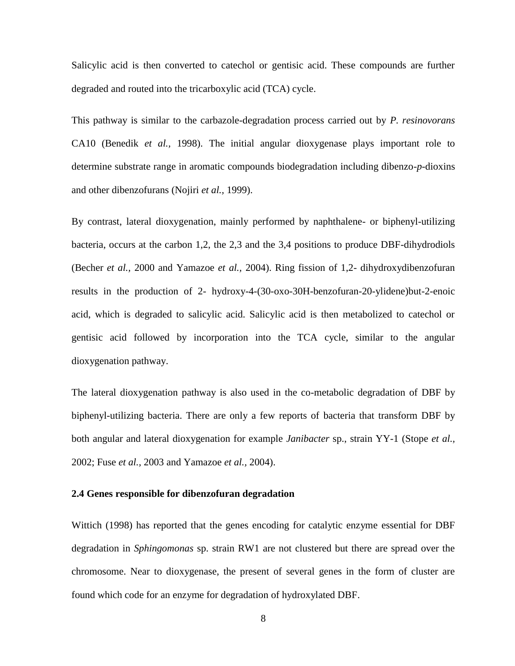Salicylic acid is then converted to catechol or gentisic acid. These compounds are further degraded and routed into the tricarboxylic acid (TCA) cycle.

This pathway is similar to the carbazole-degradation process carried out by *P. resinovorans* CA10 (Benedik *et al.,* 1998). The initial angular dioxygenase plays important role to determine substrate range in aromatic compounds biodegradation including dibenzo-*p*-dioxins and other dibenzofurans (Nojiri *et al.,* 1999).

By contrast, lateral dioxygenation, mainly performed by naphthalene- or biphenyl-utilizing bacteria, occurs at the carbon 1,2, the 2,3 and the 3,4 positions to produce DBF-dihydrodiols (Becher *et al.,* 2000 and Yamazoe *et al.,* 2004). Ring fission of 1,2- dihydroxydibenzofuran results in the production of 2- hydroxy-4-(30-oxo-30H-benzofuran-20-ylidene)but-2-enoic acid, which is degraded to salicylic acid. Salicylic acid is then metabolized to catechol or gentisic acid followed by incorporation into the TCA cycle, similar to the angular dioxygenation pathway.

The lateral dioxygenation pathway is also used in the co-metabolic degradation of DBF by biphenyl-utilizing bacteria. There are only a few reports of bacteria that transform DBF by both angular and lateral dioxygenation for example *Janibacter* sp., strain YY-1 (Stope *et al.,*  2002; Fuse *et al.,* 2003 and Yamazoe *et al.,* 2004).

#### **2.4 Genes responsible for dibenzofuran degradation**

Wittich (1998) has reported that the genes encoding for catalytic enzyme essential for DBF degradation in *Sphingomonas* sp. strain RW1 are not clustered but there are spread over the chromosome. Near to dioxygenase, the present of several genes in the form of cluster are found which code for an enzyme for degradation of hydroxylated DBF.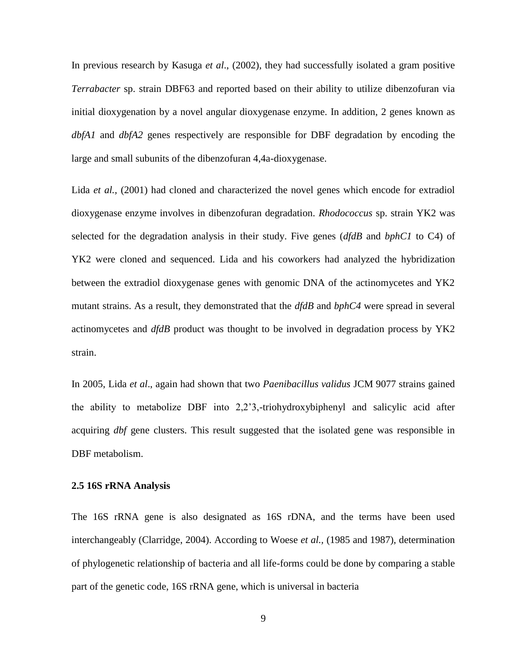In previous research by Kasuga *et al*., (2002), they had successfully isolated a gram positive *Terrabacter* sp. strain DBF63 and reported based on their ability to utilize dibenzofuran via initial dioxygenation by a novel angular dioxygenase enzyme. In addition, 2 genes known as *dbfA1* and *dbfA2* genes respectively are responsible for DBF degradation by encoding the large and small subunits of the dibenzofuran 4,4a-dioxygenase.

Lida *et al.*, (2001) had cloned and characterized the novel genes which encode for extradiol dioxygenase enzyme involves in dibenzofuran degradation. *Rhodococcus* sp. strain YK2 was selected for the degradation analysis in their study. Five genes (*dfdB* and *bphC1* to C4) of YK2 were cloned and sequenced. Lida and his coworkers had analyzed the hybridization between the extradiol dioxygenase genes with genomic DNA of the actinomycetes and YK2 mutant strains. As a result, they demonstrated that the *dfdB* and *bphC4* were spread in several actinomycetes and *dfdB* product was thought to be involved in degradation process by YK2 strain.

In 2005, Lida *et al*., again had shown that two *Paenibacillus validus* JCM 9077 strains gained the ability to metabolize DBF into 2,2'3,-triohydroxybiphenyl and salicylic acid after acquiring *dbf* gene clusters. This result suggested that the isolated gene was responsible in DBF metabolism.

#### **2.5 16S rRNA Analysis**

The 16S rRNA gene is also designated as 16S rDNA, and the terms have been used interchangeably (Clarridge, 2004). According to Woese *et al.,* (1985 and 1987), determination of phylogenetic relationship of bacteria and all life-forms could be done by comparing a stable part of the genetic code, 16S rRNA gene, which is universal in bacteria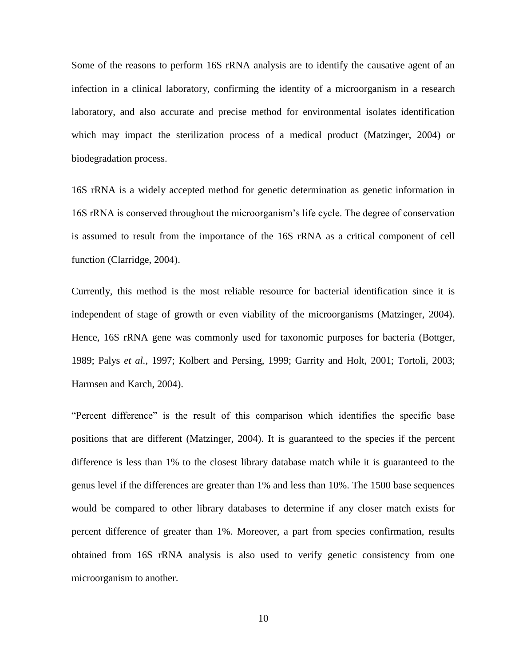Some of the reasons to perform 16S rRNA analysis are to identify the causative agent of an infection in a clinical laboratory, confirming the identity of a microorganism in a research laboratory, and also accurate and precise method for environmental isolates identification which may impact the sterilization process of a medical product (Matzinger, 2004) or biodegradation process.

16S rRNA is a widely accepted method for genetic determination as genetic information in 16S rRNA is conserved throughout the microorganism's life cycle. The degree of conservation is assumed to result from the importance of the 16S rRNA as a critical component of cell function (Clarridge, 2004).

Currently, this method is the most reliable resource for bacterial identification since it is independent of stage of growth or even viability of the microorganisms (Matzinger, 2004). Hence, 16S rRNA gene was commonly used for taxonomic purposes for bacteria (Bottger, 1989; Palys *et al.,* 1997; Kolbert and Persing, 1999; Garrity and Holt, 2001; Tortoli, 2003; Harmsen and Karch, 2004).

"Percent difference" is the result of this comparison which identifies the specific base positions that are different (Matzinger, 2004). It is guaranteed to the species if the percent difference is less than 1% to the closest library database match while it is guaranteed to the genus level if the differences are greater than 1% and less than 10%. The 1500 base sequences would be compared to other library databases to determine if any closer match exists for percent difference of greater than 1%. Moreover, a part from species confirmation, results obtained from 16S rRNA analysis is also used to verify genetic consistency from one microorganism to another.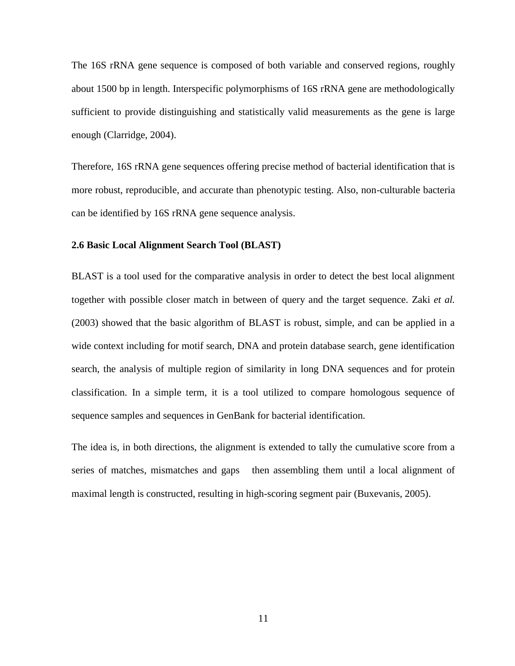The 16S rRNA gene sequence is composed of both variable and conserved regions, roughly about 1500 bp in length. Interspecific polymorphisms of 16S rRNA gene are methodologically sufficient to provide distinguishing and statistically valid measurements as the gene is large enough (Clarridge, 2004).

Therefore, 16S rRNA gene sequences offering precise method of bacterial identification that is more robust, reproducible, and accurate than phenotypic testing. Also, non-culturable bacteria can be identified by 16S rRNA gene sequence analysis.

#### **2.6 Basic Local Alignment Search Tool (BLAST)**

BLAST is a tool used for the comparative analysis in order to detect the best local alignment together with possible closer match in between of query and the target sequence. Zaki *et al.*  (2003) showed that the basic algorithm of BLAST is robust, simple, and can be applied in a wide context including for motif search, DNA and protein database search, gene identification search, the analysis of multiple region of similarity in long DNA sequences and for protein classification. In a simple term, it is a tool utilized to compare homologous sequence of sequence samples and sequences in GenBank for bacterial identification.

The idea is, in both directions, the alignment is extended to tally the cumulative score from a series of matches, mismatches and gaps then assembling them until a local alignment of maximal length is constructed, resulting in high-scoring segment pair (Buxevanis, 2005).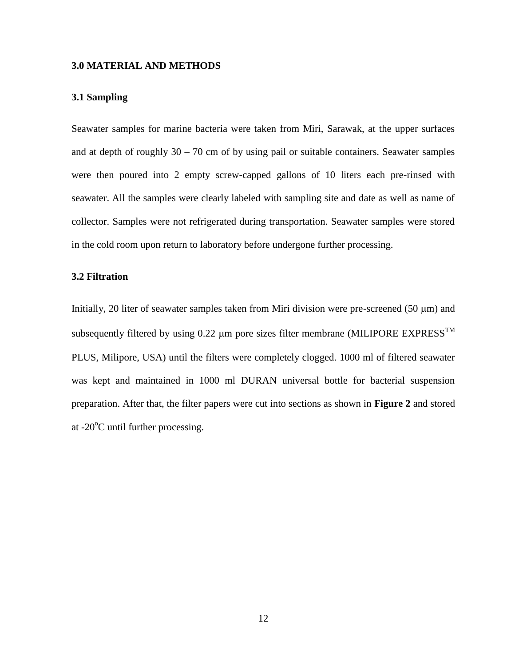#### **3.0 MATERIAL AND METHODS**

#### **3.1 Sampling**

Seawater samples for marine bacteria were taken from Miri, Sarawak, at the upper surfaces and at depth of roughly  $30 - 70$  cm of by using pail or suitable containers. Seawater samples were then poured into 2 empty screw-capped gallons of 10 liters each pre-rinsed with seawater. All the samples were clearly labeled with sampling site and date as well as name of collector. Samples were not refrigerated during transportation. Seawater samples were stored in the cold room upon return to laboratory before undergone further processing.

#### **3.2 Filtration**

Initially, 20 liter of seawater samples taken from Miri division were pre-screened  $(50 \mu m)$  and subsequently filtered by using 0.22  $\mu$ m pore sizes filter membrane (MILIPORE EXPRESS<sup>TM</sup> PLUS, Milipore, USA) until the filters were completely clogged. 1000 ml of filtered seawater was kept and maintained in 1000 ml DURAN universal bottle for bacterial suspension preparation. After that, the filter papers were cut into sections as shown in **Figure 2** and stored at  $-20^{\circ}$ C until further processing.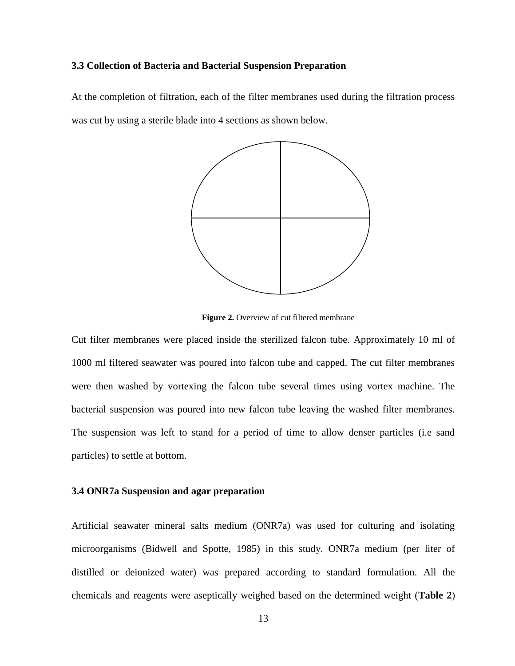#### **3.3 Collection of Bacteria and Bacterial Suspension Preparation**

At the completion of filtration, each of the filter membranes used during the filtration process was cut by using a sterile blade into 4 sections as shown below.



**Figure 2.** Overview of cut filtered membrane

Cut filter membranes were placed inside the sterilized falcon tube. Approximately 10 ml of 1000 ml filtered seawater was poured into falcon tube and capped. The cut filter membranes were then washed by vortexing the falcon tube several times using vortex machine. The bacterial suspension was poured into new falcon tube leaving the washed filter membranes. The suspension was left to stand for a period of time to allow denser particles (i.e sand particles) to settle at bottom.

#### **3.4 ONR7a Suspension and agar preparation**

Artificial seawater mineral salts medium (ONR7a) was used for culturing and isolating microorganisms (Bidwell and Spotte, 1985) in this study. ONR7a medium (per liter of distilled or deionized water) was prepared according to standard formulation. All the chemicals and reagents were aseptically weighed based on the determined weight (**Table 2**)